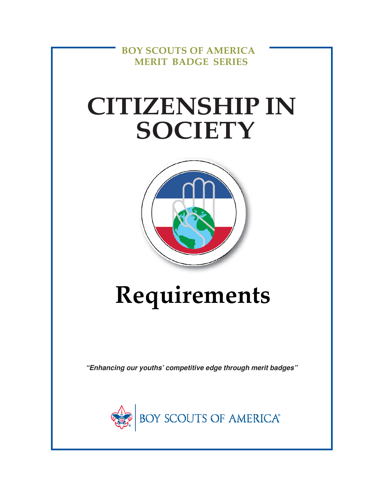**BOY SCOUTS OF AMERICA MERIT BADGE SERIES**

## **CITIZENSHIP IN SOCIETY**



# **Requirements**

**"Enhancing our youths' competitive edge through merit badges"**

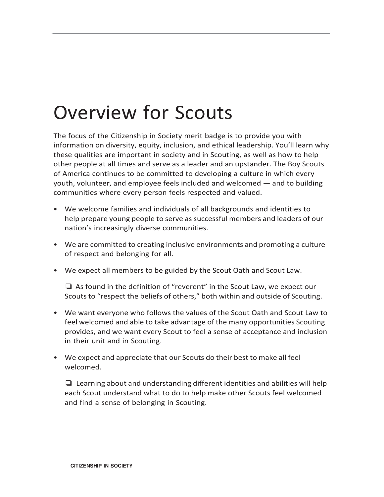### Overview for Scouts

**.**

The focus of the Citizenship in Society merit badge is to provide you with information on diversity, equity, inclusion, and ethical leadership. You'll learn why these qualities are important in society and in Scouting, as well as how to help other people at all times and serve as a leader and an upstander. The Boy Scouts of America continues to be committed to developing a culture in which every youth, volunteer, and employee feels included and welcomed — and to building communities where every person feels respected and valued.

- We welcome families and individuals of all backgrounds and identities to help prepare young people to serve as successful members and leaders of our nation's increasingly diverse communities.
- We are committed to creating inclusive environments and promoting a culture of respect and belonging for all.
- We expect all members to be guided by the Scout Oath and Scout Law.

❏ As found in the definition of "reverent" in the Scout Law, we expect our Scouts to "respect the beliefs of others," both within and outside of Scouting.

- We want everyone who follows the values of the Scout Oath and Scout Law to feel welcomed and able to take advantage of the many opportunities Scouting provides, and we want every Scout to feel a sense of acceptance and inclusion in their unit and in Scouting.
- We expect and appreciate that our Scouts do their best to make all feel welcomed.

❏ Learning about and understanding different identities and abilities will help each Scout understand what to do to help make other Scouts feel welcomed and find a sense of belonging in Scouting.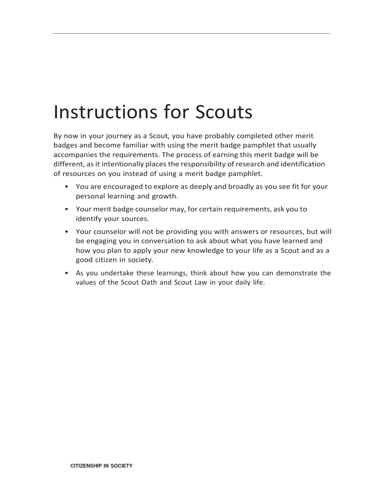### Instructions for Scouts

**.**

By now in your journey as a Scout, you have probably completed other merit badges and become familiar with using the merit badge pamphlet that usually accompanies the requirements. The process of earning this merit badge will be different, as it intentionally places the responsibility of research and identification of resources on you instead of using a merit badge pamphlet.

- You are encouraged to explore as deeply and broadly as you see fit for your personal learning and growth.
- Your merit badge counselor may, for certain requirements, ask you to identify your sources.
- Your counselor will not be providing you with answers or resources, but will be engaging you in conversation to ask about what you have learned and how you plan to apply your new knowledge to your life as a Scout and as a good citizen in society.
- As you undertake these learnings, think about how you can demonstrate the values of the Scout Oath and Scout Law in your daily life.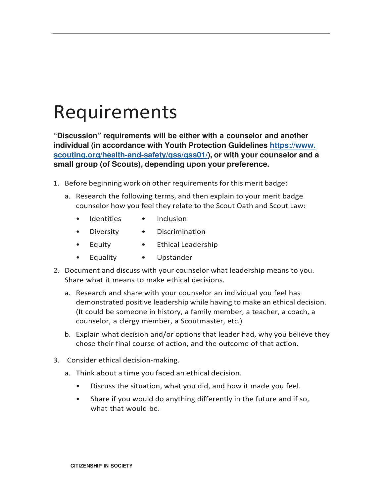#### Requirements

**.**

**"Discussion" requirements will be either with a counselor and another individual (in accordance with Youth Protection Guidelines https://www. scouting.org/health-and-safety/gss/gss01/), or with your counselor and a small group (of Scouts), depending upon your preference.**

- 1. Before beginning work on other requirements for this merit badge:
	- a. Research the following terms, and then explain to your merit badge counselor how you feel they relate to the Scout Oath and Scout Law:
		- Identities Inclusion
		- Diversity Discrimination
		- Equity Ethical Leadership
		- Equality Upstander
- 2. Document and discuss with your counselor what leadership means to you. Share what it means to make ethical decisions.
	- a. Research and share with your counselor an individual you feel has demonstrated positive leadership while having to make an ethical decision. (It could be someone in history, a family member, a teacher, a coach, a counselor, a clergy member, a Scoutmaster, etc.)
	- b. Explain what decision and/or options that leader had, why you believe they chose their final course of action, and the outcome of that action.
- 3. Consider ethical decision-making.
	- a. Think about a time you faced an ethical decision.
		- Discuss the situation, what you did, and how it made you feel.
		- Share if you would do anything differently in the future and if so, what that would be.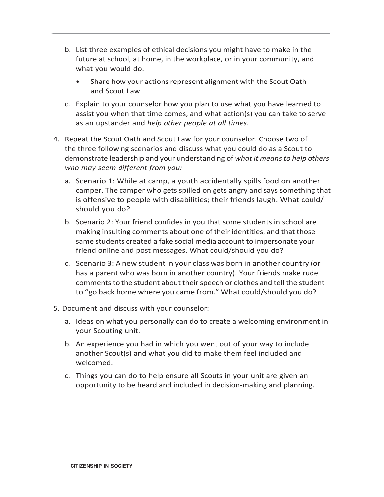- b. List three examples of ethical decisions you might have to make in the future at school, at home, in the workplace, or in your community, and what you would do.
	- Share how your actions represent alignment with the Scout Oath and Scout Law
- c. Explain to your counselor how you plan to use what you have learned to assist you when that time comes, and what action(s) you can take to serve as an upstander and *help other people at all times*.
- 4. Repeat the Scout Oath and Scout Law for your counselor. Choose two of the three following scenarios and discuss what you could do as a Scout to demonstrate leadership and your understanding of *what it means to help others who may seem different from you:*
	- a. Scenario 1: While at camp, a youth accidentally spills food on another camper. The camper who gets spilled on gets angry and says something that is offensive to people with disabilities; their friends laugh. What could/ should you do?
	- b. Scenario 2: Your friend confides in you that some students in school are making insulting comments about one of their identities, and that those same students created a fake social media account to impersonate your friend online and post messages. What could/should you do?
	- c. Scenario 3: A new student in your class was born in another country (or has a parent who was born in another country). Your friends make rude comments to the student about their speech or clothes and tell the student to "go back home where you came from." What could/should you do?
- 5. Document and discuss with your counselor:

**.**

- a. Ideas on what you personally can do to create a welcoming environment in your Scouting unit.
- b. An experience you had in which you went out of your way to include another Scout(s) and what you did to make them feel included and welcomed.
- c. Things you can do to help ensure all Scouts in your unit are given an opportunity to be heard and included in decision-making and planning.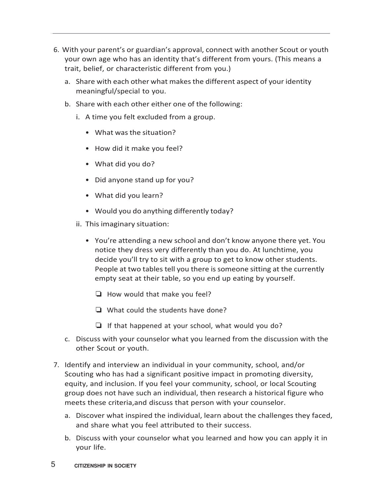- 6. With your parent's or guardian's approval, connect with another Scout or youth your own age who has an identity that's different from yours. (This means a trait, belief, or characteristic different from you.)
	- a. Share with each other what makes the different aspect of your identity meaningful/special to you.
	- b. Share with each other either one of the following:
		- i. A time you felt excluded from a group.
			- What was the situation?
			- How did it make you feel?
			- What did you do?

**.**

- Did anyone stand up for you?
- What did you learn?
- Would you do anything differently today?
- ii. This imaginary situation:
	- You're attending a new school and don't know anyone there yet. You notice they dress very differently than you do. At lunchtime, you decide you'll try to sit with a group to get to know other students. People at two tables tell you there is someone sitting at the currently empty seat at their table, so you end up eating by yourself.
		- ❏ How would that make you feel?
		- ❏ What could the students have done?
		- $\Box$  If that happened at your school, what would you do?
- c. Discuss with your counselor what you learned from the discussion with the other Scout or youth.
- 7. Identify and interview an individual in your community, school, and/or Scouting who has had a significant positive impact in promoting diversity, equity, and inclusion. If you feel your community, school, or local Scouting group does not have such an individual, then research a historical figure who meets these criteria,and discuss that person with your counselor.
	- a. Discover what inspired the individual, learn about the challenges they faced, and share what you feel attributed to their success.
	- b. Discuss with your counselor what you learned and how you can apply it in your life.